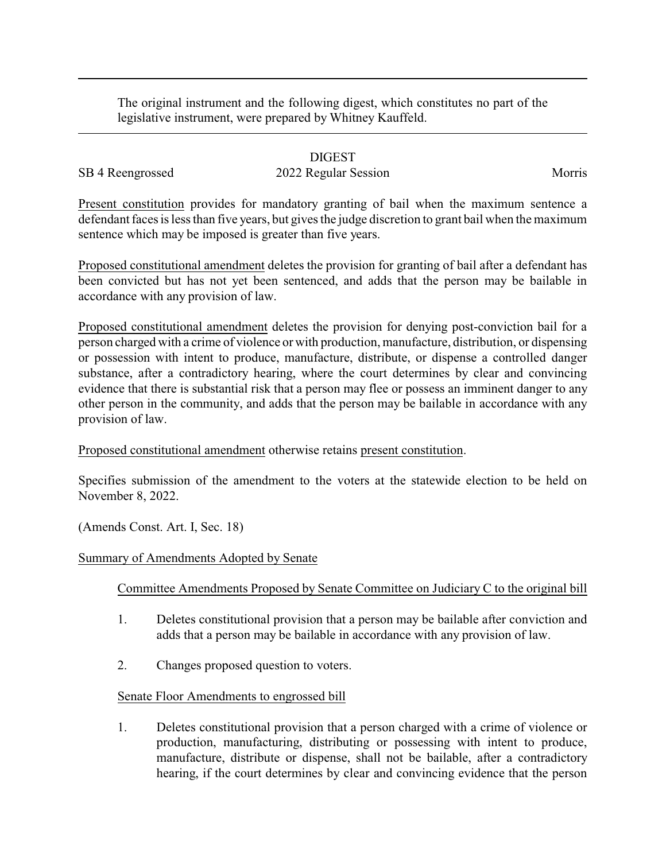The original instrument and the following digest, which constitutes no part of the legislative instrument, were prepared by Whitney Kauffeld.

## DIGEST

# SB 4 Reengrossed 2022 Regular Session Morris

Present constitution provides for mandatory granting of bail when the maximum sentence a defendant faces is less than five years, but gives the judge discretion to grant bail when the maximum sentence which may be imposed is greater than five years.

Proposed constitutional amendment deletes the provision for granting of bail after a defendant has been convicted but has not yet been sentenced, and adds that the person may be bailable in accordance with any provision of law.

Proposed constitutional amendment deletes the provision for denying post-conviction bail for a person charged with a crime of violence or with production, manufacture, distribution, or dispensing or possession with intent to produce, manufacture, distribute, or dispense a controlled danger substance, after a contradictory hearing, where the court determines by clear and convincing evidence that there is substantial risk that a person may flee or possess an imminent danger to any other person in the community, and adds that the person may be bailable in accordance with any provision of law.

## Proposed constitutional amendment otherwise retains present constitution.

Specifies submission of the amendment to the voters at the statewide election to be held on November 8, 2022.

(Amends Const. Art. I, Sec. 18)

#### Summary of Amendments Adopted by Senate

## Committee Amendments Proposed by Senate Committee on Judiciary C to the original bill

- 1. Deletes constitutional provision that a person may be bailable after conviction and adds that a person may be bailable in accordance with any provision of law.
- 2. Changes proposed question to voters.

## Senate Floor Amendments to engrossed bill

1. Deletes constitutional provision that a person charged with a crime of violence or production, manufacturing, distributing or possessing with intent to produce, manufacture, distribute or dispense, shall not be bailable, after a contradictory hearing, if the court determines by clear and convincing evidence that the person